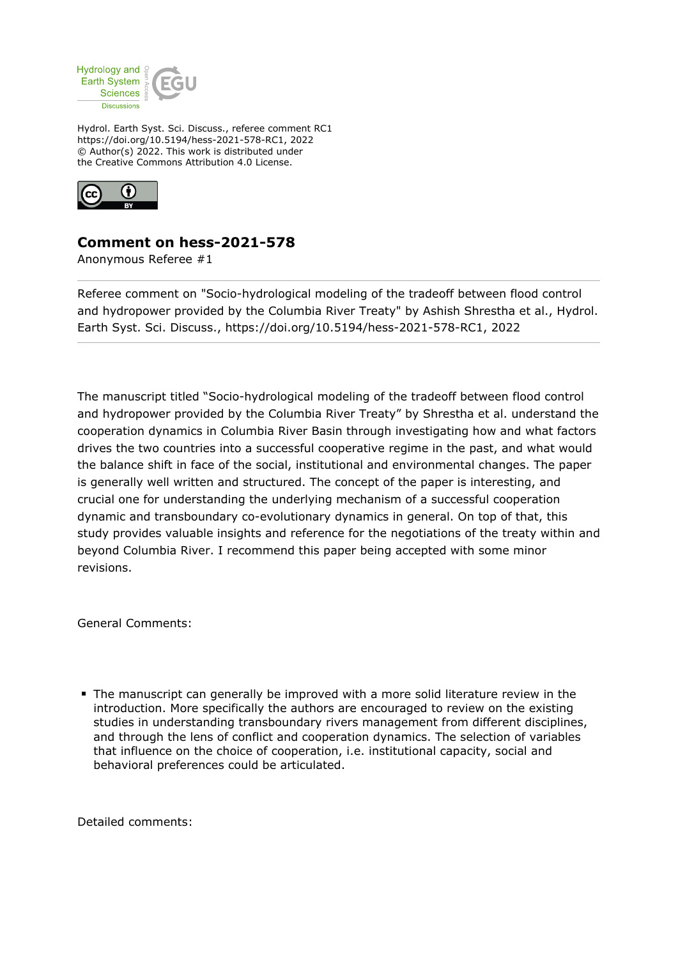

Hydrol. Earth Syst. Sci. Discuss., referee comment RC1 https://doi.org/10.5194/hess-2021-578-RC1, 2022 © Author(s) 2022. This work is distributed under the Creative Commons Attribution 4.0 License.



## **Comment on hess-2021-578**

Anonymous Referee #1

Referee comment on "Socio-hydrological modeling of the tradeoff between flood control and hydropower provided by the Columbia River Treaty" by Ashish Shrestha et al., Hydrol. Earth Syst. Sci. Discuss., https://doi.org/10.5194/hess-2021-578-RC1, 2022

The manuscript titled "Socio-hydrological modeling of the tradeoff between flood control and hydropower provided by the Columbia River Treaty" by Shrestha et al. understand the cooperation dynamics in Columbia River Basin through investigating how and what factors drives the two countries into a successful cooperative regime in the past, and what would the balance shift in face of the social, institutional and environmental changes. The paper is generally well written and structured. The concept of the paper is interesting, and crucial one for understanding the underlying mechanism of a successful cooperation dynamic and transboundary co-evolutionary dynamics in general. On top of that, this study provides valuable insights and reference for the negotiations of the treaty within and beyond Columbia River. I recommend this paper being accepted with some minor revisions.

General Comments:

The manuscript can generally be improved with a more solid literature review in the introduction. More specifically the authors are encouraged to review on the existing studies in understanding transboundary rivers management from different disciplines, and through the lens of conflict and cooperation dynamics. The selection of variables that influence on the choice of cooperation, i.e. institutional capacity, social and behavioral preferences could be articulated.

Detailed comments: